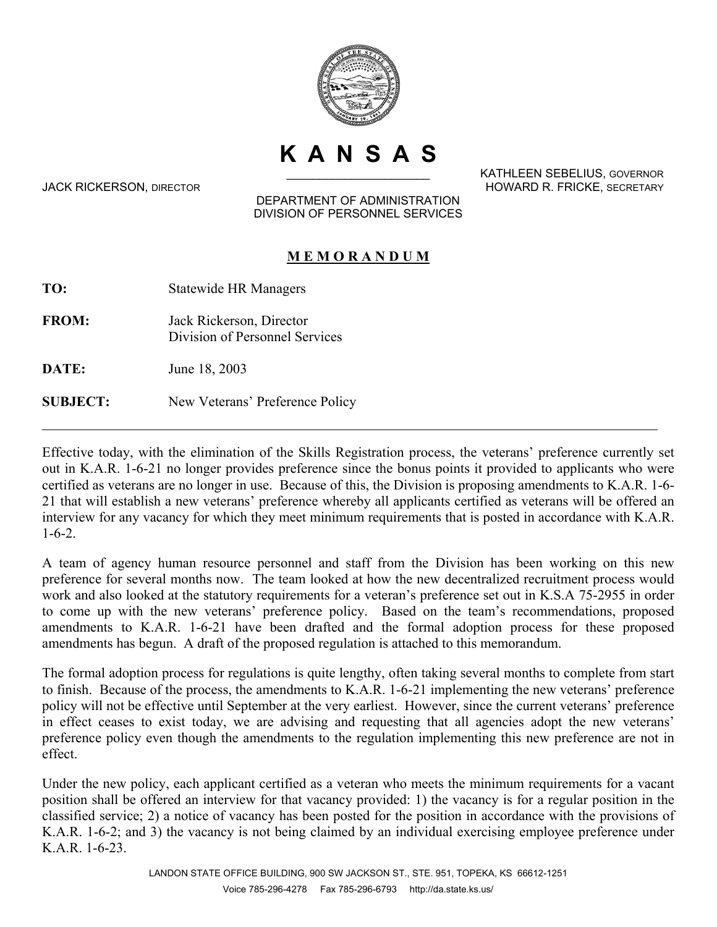

**KANSAS**

KATHLEEN SEBELIUS, GOVERNOR JACK RICKERSON, DIRECTOR HOWARD R. FRICKE, SECRETARY

## DEPARTMENT OF ADMINISTRATION DIVISION OF PERSONNEL SERVICES

## **M E M O R A N D U M**

**TO:** Statewide HR Managers

**FROM:** Jack Rickerson, Director Division of Personnel Services

**DATE:** June 18, 2003

**SUBJECT:** New Veterans' Preference Policy

Effective today, with the elimination of the Skills Registration process, the veterans' preference currently set out in K.A.R. 1-6-21 no longer provides preference since the bonus points it provided to applicants who were certified as veterans are no longer in use. Because of this, the Division is proposing amendments to K.A.R. 1-6- 21 that will establish a new veterans' preference whereby all applicants certified as veterans will be offered an interview for any vacancy for which they meet minimum requirements that is posted in accordance with K.A.R. 1-6-2.

A team of agency human resource personnel and staff from the Division has been working on this new preference for several months now. The team looked at how the new decentralized recruitment process would work and also looked at the statutory requirements for a veteran's preference set out in K.S.A 75-2955 in order to come up with the new veterans' preference policy. Based on the team's recommendations, proposed amendments to K.A.R. 1-6-21 have been drafted and the formal adoption process for these proposed amendments has begun. A draft of the proposed regulation is attached to this memorandum.

The formal adoption process for regulations is quite lengthy, often taking several months to complete from start to finish. Because of the process, the amendments to K.A.R. 1-6-21 implementing the new veterans' preference policy will not be effective until September at the very earliest. However, since the current veterans' preference in effect ceases to exist today, we are advising and requesting that all agencies adopt the new veterans' preference policy even though the amendments to the regulation implementing this new preference are not in effect.

Under the new policy, each applicant certified as a veteran who meets the minimum requirements for a vacant position shall be offered an interview for that vacancy provided: 1) the vacancy is for a regular position in the classified service; 2) a notice of vacancy has been posted for the position in accordance with the provisions of K.A.R. 1-6-2; and 3) the vacancy is not being claimed by an individual exercising employee preference under K.A.R. 1-6-23.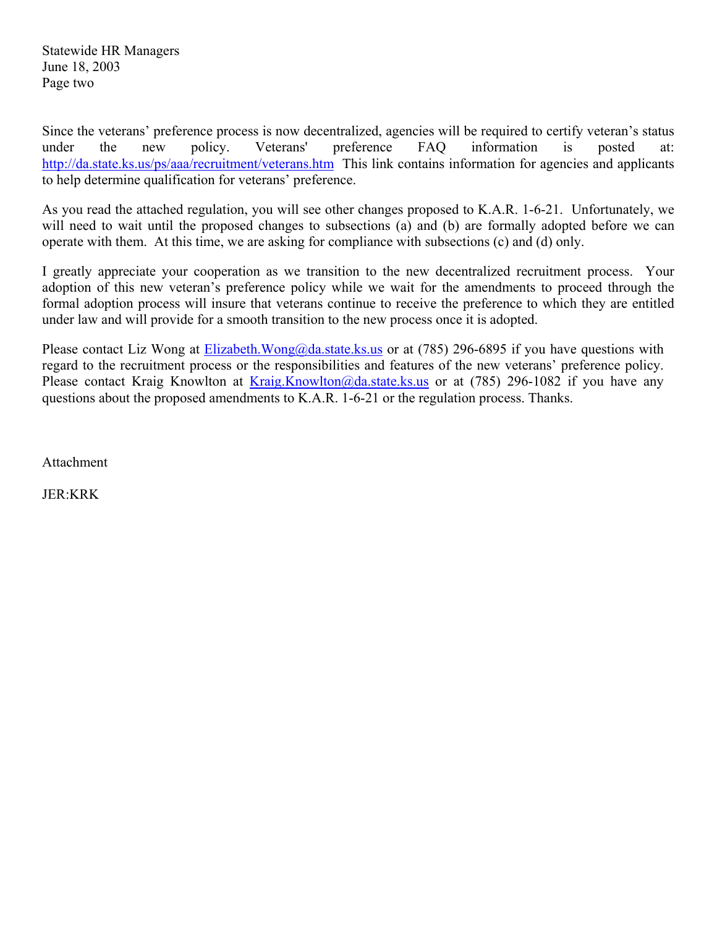Statewide HR Managers June 18, 2003 Page two

Since the veterans' preference process is now decentralized, agencies will be required to certify veteran's status under the new policy. Veterans' preference FAQ information is posted at: http://da.state.ks.us/ps/aaa/recruitment/veterans.htm This link contains information for agencies and applicants to help determine qualification for veterans' preference.

As you read the attached regulation, you will see other changes proposed to K.A.R. 1-6-21. Unfortunately, we will need to wait until the proposed changes to subsections (a) and (b) are formally adopted before we can operate with them. At this time, we are asking for compliance with subsections (c) and (d) only.

I greatly appreciate your cooperation as we transition to the new decentralized recruitment process. Your adoption of this new veteran's preference policy while we wait for the amendments to proceed through the formal adoption process will insure that veterans continue to receive the preference to which they are entitled under law and will provide for a smooth transition to the new process once it is adopted.

Please contact Liz Wong at Elizabeth.Wong@da.state.ks.us or at (785) 296-6895 if you have questions with regard to the recruitment process or the responsibilities and features of the new veterans' preference policy. Please contact Kraig Knowlton at Kraig.Knowlton@da.state.ks.us or at (785) 296-1082 if you have any questions about the proposed amendments to K.A.R. 1-6-21 or the regulation process. Thanks.

Attachment

JER:KRK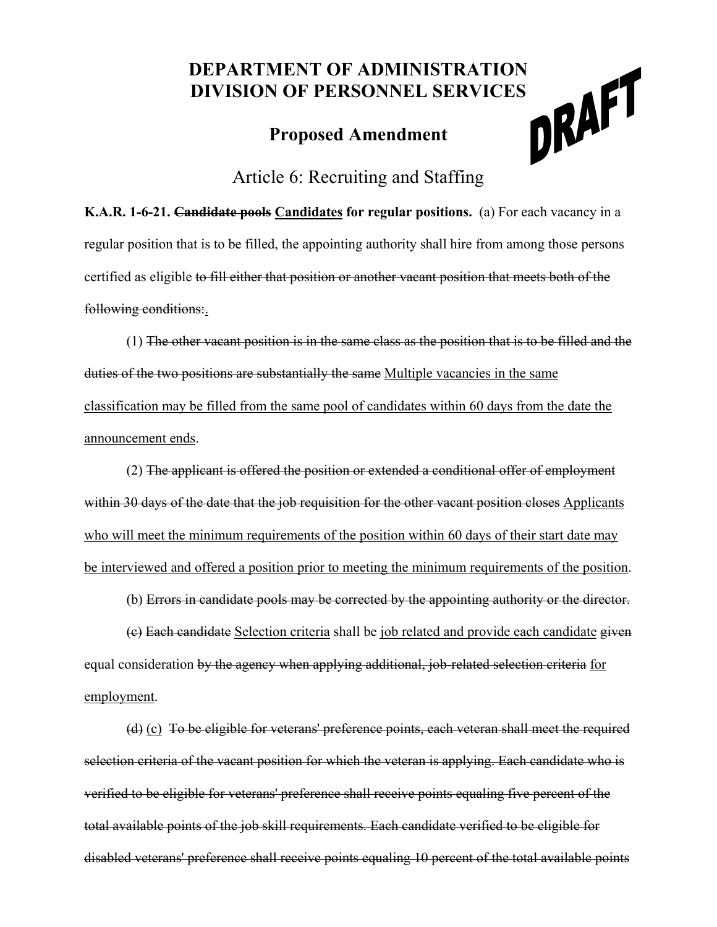## **DEPARTMENT OF ADMINISTRATION<br>DIVISION OF PERSONNEL SERVICES<br>Proposed Amendment DIVISION OF PERSONNEL SERVICES**

## **Proposed Amendment**



Article 6: Recruiting and Staffing

**K.A.R. 1-6-21. Candidate pools Candidates for regular positions.** (a) For each vacancy in a regular position that is to be filled, the appointing authority shall hire from among those persons certified as eligible to fill either that position or another vacant position that meets both of the following conditions:.

(1) The other vacant position is in the same class as the position that is to be filled and the duties of the two positions are substantially the same Multiple vacancies in the same classification may be filled from the same pool of candidates within 60 days from the date the announcement ends.

(2) The applicant is offered the position or extended a conditional offer of employment within 30 days of the date that the job requisition for the other vacant position closes Applicants who will meet the minimum requirements of the position within 60 days of their start date may be interviewed and offered a position prior to meeting the minimum requirements of the position.

(b) Errors in candidate pools may be corrected by the appointing authority or the director.

(c) Each candidate Selection criteria shall be job related and provide each candidate given equal consideration by the agency when applying additional, job-related selection criteria for employment.

(d) (c) To be eligible for veterans' preference points, each veteran shall meet the required selection criteria of the vacant position for which the veteran is applying. Each candidate who is verified to be eligible for veterans' preference shall receive points equaling five percent of the total available points of the job skill requirements. Each candidate verified to be eligible for disabled veterans' preference shall receive points equaling 10 percent of the total available points